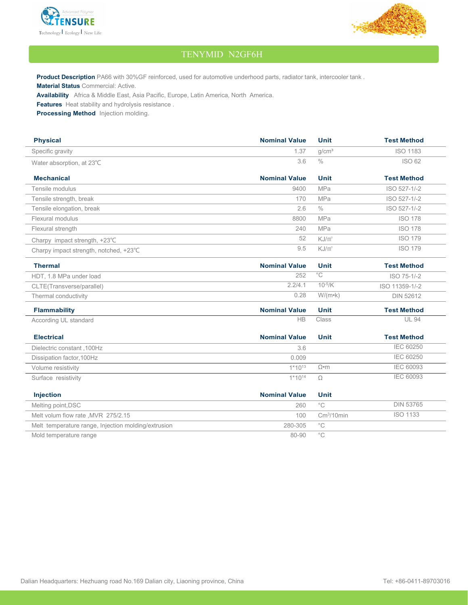



## TENYMID N2GF6H

**Product Description** PA66 with 30%GF reinforced, used for automotive underhood parts, radiator tank, intercooler tank. **Material Status** Commercial: Active.

**Availability** Africa & Middle East, Asia Pacific, Europe, Latin America, North America.

**Features** Heat stability and hydrolysis resistance .

**Processing Method** Injection molding.

| <b>Physical</b>                                     | <b>Nominal Value</b> | <b>Unit</b>       | <b>Test Method</b> |
|-----------------------------------------------------|----------------------|-------------------|--------------------|
| Specific gravity                                    | 1.37                 | q/cm <sup>3</sup> | <b>ISO 1183</b>    |
| Water absorption, at 23°C                           | 3.6                  | $\frac{0}{0}$     | <b>ISO 62</b>      |
| <b>Mechanical</b>                                   | <b>Nominal Value</b> | <b>Unit</b>       | <b>Test Method</b> |
| Tensile modulus                                     | 9400                 | <b>MPa</b>        | ISO 527-1/-2       |
| Tensile strength, break                             | 170                  | MPa               | ISO 527-1/-2       |
| Tensile elongation, break                           | 2.6                  | $\frac{0}{0}$     | ISO 527-1/-2       |
| Flexural modulus                                    | 8800                 | <b>MPa</b>        | <b>ISO 178</b>     |
| Flexural strength                                   | 240                  | <b>MPa</b>        | <b>ISO 178</b>     |
| Charpy impact strength, +23°C                       | 52                   | KJ/m <sup>2</sup> | <b>ISO 179</b>     |
| Charpy impact strength, notched, +23°C              | 9.5                  | KJ/m <sup>2</sup> | <b>ISO 179</b>     |
| <b>Thermal</b>                                      | <b>Nominal Value</b> | <b>Unit</b>       | <b>Test Method</b> |
| HDT, 1.8 MPa under load                             | 252                  | $\overline{C}$    | ISO 75-1/-2        |
| CLTE(Transverse/parallel)                           | 2.2/4.1              | $10^{-5}/K$       | ISO 11359-1/-2     |
| Thermal conductivity                                | 0.28                 | $W/(m \cdot k)$   | <b>DIN 52612</b>   |
| <b>Flammability</b>                                 | <b>Nominal Value</b> | <b>Unit</b>       | <b>Test Method</b> |
| According UL standard                               | HB                   | Class             | <b>UL 94</b>       |
| <b>Electrical</b>                                   | <b>Nominal Value</b> | <b>Unit</b>       | <b>Test Method</b> |
| Dielectric constant, 100Hz                          | 3.6                  |                   | <b>IEC 60250</b>   |
| Dissipation factor, 100Hz                           | 0.009                |                   | <b>IEC 60250</b>   |
| Volume resistivity                                  | $1*10^{13}$          | $\Omega$ •m       | <b>IEC 60093</b>   |
| Surface resistivity                                 | $1*10^{14}$          | $\Omega$          | <b>IEC 60093</b>   |
| Injection                                           | <b>Nominal Value</b> | <b>Unit</b>       |                    |
| Melting point, DSC                                  | 260                  | $^{\circ}$ C      | <b>DIN 53765</b>   |
| Melt volum fiow rate, MVR 275/2.15                  | 100                  | $\rm Cm^3/10min$  | <b>ISO 1133</b>    |
| Melt temperature range, Injection molding/extrusion | 280-305              | $^{\circ}$ C      |                    |
| Mold temperature range                              | 80-90                | $^{\circ}$ C      |                    |